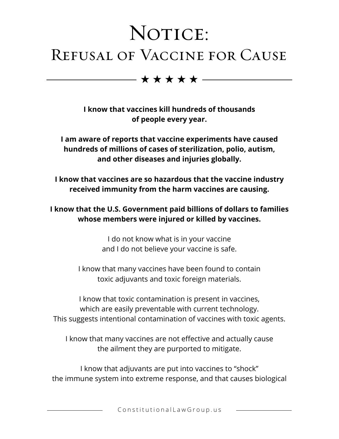## NOTICE: Refusal of Vaccine for Cause

 $\star\star\star\star+$ 

**I know that vaccines kill hundreds of thousands of people every year.**

**I am aware of reports that vaccine experiments have caused hundreds of millions of cases of sterilization, polio, autism, and other diseases and injuries globally.**

**I know that vaccines are so hazardous that the vaccine industry received immunity from the harm vaccines are causing.**

**I know that the U.S. Government paid billions of dollars to families whose members were injured or killed by vaccines.**

> I do not know what is in your vaccine and I do not believe your vaccine is safe.

I know that many vaccines have been found to contain toxic adjuvants and toxic foreign materials.

I know that toxic contamination is present in vaccines, which are easily preventable with current technology. This suggests intentional contamination of vaccines with toxic agents.

I know that many vaccines are not effective and actually cause the ailment they are purported to mitigate.

I know that adjuvants are put into vaccines to "shock" the immune system into extreme response, and that causes biological

ConstitutionalLawGroup.us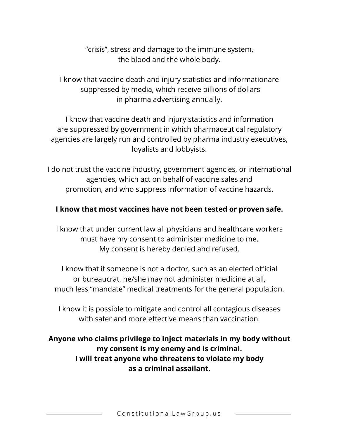"crisis", stress and damage to the immune system, the blood and the whole body.

I know that vaccine death and injury statistics and informationare suppressed by media, which receive billions of dollars in pharma advertising annually.

I know that vaccine death and injury statistics and information are suppressed by government in which pharmaceutical regulatory agencies are largely run and controlled by pharma industry executives, loyalists and lobbyists.

I do not trust the vaccine industry, government agencies, or international agencies, which act on behalf of vaccine sales and promotion, and who suppress information of vaccine hazards.

## **I know that most vaccines have not been tested or proven safe.**

I know that under current law all physicians and healthcare workers must have my consent to administer medicine to me. My consent is hereby denied and refused.

I know that if someone is not a doctor, such as an elected official or bureaucrat, he/she may not administer medicine at all, much less "mandate" medical treatments for the general population.

I know it is possible to mitigate and control all contagious diseases with safer and more effective means than vaccination.

**Anyone who claims privilege to inject materials in my body without my consent is my enemy and is criminal. I will treat anyone who threatens to violate my body as a criminal assailant.**